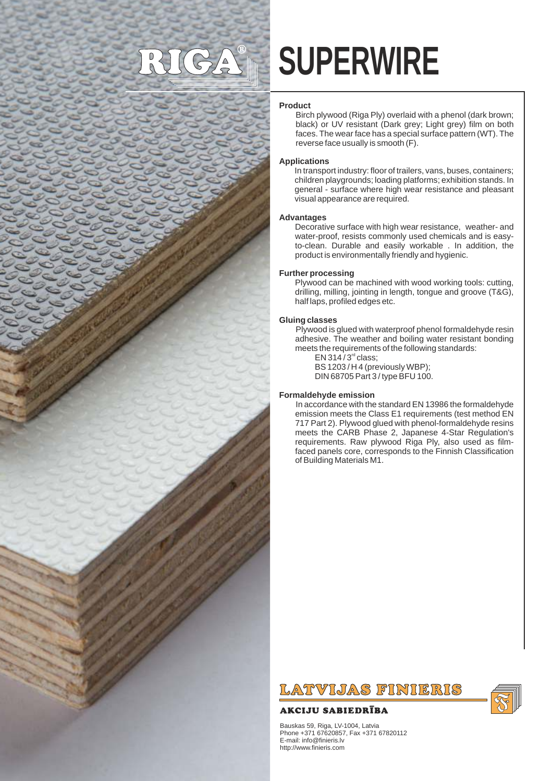

# **SUPERWIRE**

# **Product**

Birch plywood (Riga Ply) overlaid with a phenol (dark brown; black) or UV resistant (Dark grey; Light grey) film on both faces. The wear face has a special surface pattern (WT). The reverse face usually is smooth (F).

### **Applications**

In transport industry: floor of trailers, vans, buses, containers; children playgrounds; loading platforms; exhibition stands. In general - surface where high wear resistance and pleasant visual appearance are required.

#### **Advantages**

Decorative surface with high wear resistance, weather- and water-proof, resists commonly used chemicals and is easyto-clean. Durable and easily workable . In addition, the product is environmentally friendly and hygienic.

#### **Further processing**

Plywood can be machined with wood working tools: cutting, drilling, milling, jointing in length, tongue and groove (T&G), half laps, profiled edges etc.

# **Gluing classes**

Plywood is glued with waterproof phenol formaldehyde resin adhesive. The weather and boiling water resistant bonding meets the requirements of the following standards:

 $EN 314 / 3<sup>rd</sup> class;$ BS 1203 / H 4 (previously WBP); DIN 68705 Part 3 / type BFU 100.

#### **Formaldehyde emission**

In accordance with the standard EN 13986 the formaldehyde emission meets the Class E1 requirements (test method EN 717 Part 2). Plywood glued with phenol-formaldehyde resins meets the CARB Phase 2, Japanese 4-Star Regulation's requirements. Raw plywood Riga Ply, also used as filmfaced panels core, corresponds to the Finnish Classification of Building Materials M1.



#### **AKCIJU SABIEDRĪBA**

Bauskas 59, Riga, LV-1004, Latvia Phone +371 67620857, Fax +371 67820112 E-mail: info@finieris.lv http://www.finieris.com